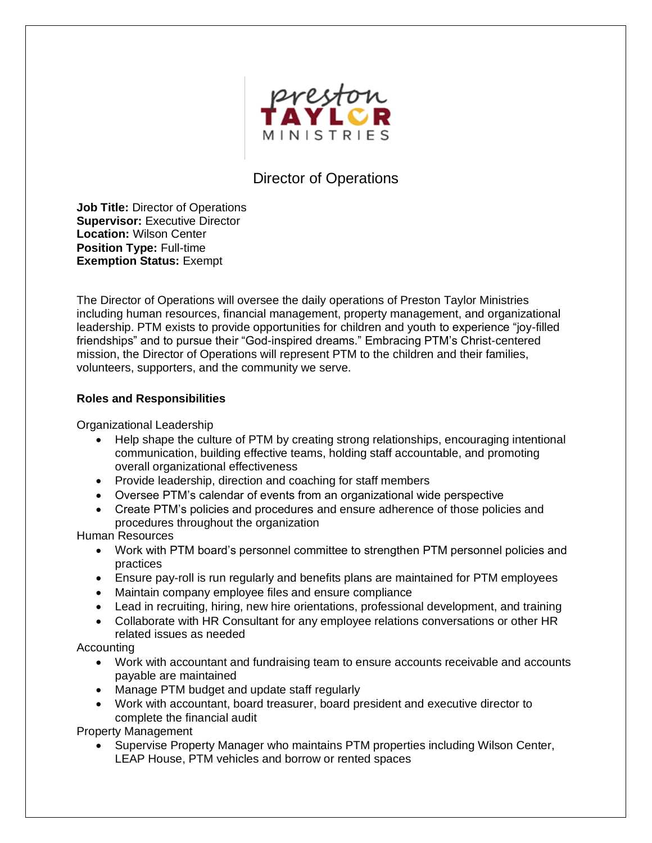

## Director of Operations

**Job Title:** Director of Operations **Supervisor:** Executive Director **Location:** Wilson Center **Position Type:** Full-time **Exemption Status:** Exempt

The Director of Operations will oversee the daily operations of Preston Taylor Ministries including human resources, financial management, property management, and organizational leadership. PTM exists to provide opportunities for children and youth to experience "joy-filled friendships" and to pursue their "God-inspired dreams." Embracing PTM's Christ-centered mission, the Director of Operations will represent PTM to the children and their families, volunteers, supporters, and the community we serve.

## **Roles and Responsibilities**

Organizational Leadership

- Help shape the culture of PTM by creating strong relationships, encouraging intentional communication, building effective teams, holding staff accountable, and promoting overall organizational effectiveness
- Provide leadership, direction and coaching for staff members
- Oversee PTM's calendar of events from an organizational wide perspective
- Create PTM's policies and procedures and ensure adherence of those policies and procedures throughout the organization

Human Resources

- Work with PTM board's personnel committee to strengthen PTM personnel policies and practices
- Ensure pay-roll is run regularly and benefits plans are maintained for PTM employees
- Maintain company employee files and ensure compliance
- Lead in recruiting, hiring, new hire orientations, professional development, and training
- Collaborate with HR Consultant for any employee relations conversations or other HR related issues as needed

Accounting

- Work with accountant and fundraising team to ensure accounts receivable and accounts payable are maintained
- Manage PTM budget and update staff regularly
- Work with accountant, board treasurer, board president and executive director to complete the financial audit

Property Management

• Supervise Property Manager who maintains PTM properties including Wilson Center, LEAP House, PTM vehicles and borrow or rented spaces